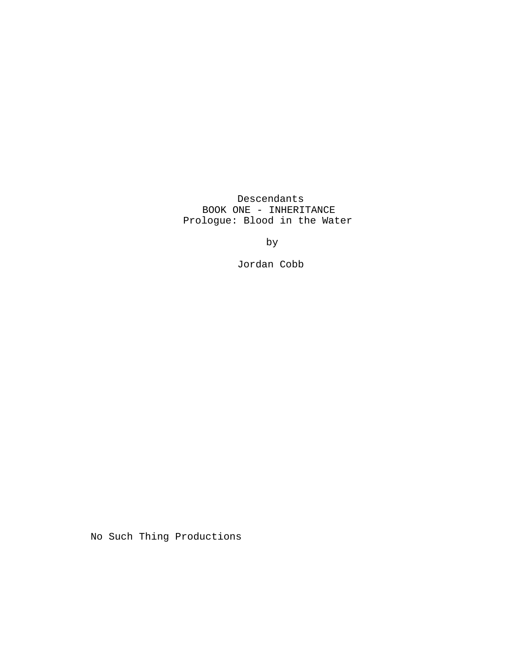Descendants BOOK ONE - INHERITANCE Prologue: Blood in the Water

by

Jordan Cobb

No Such Thing Productions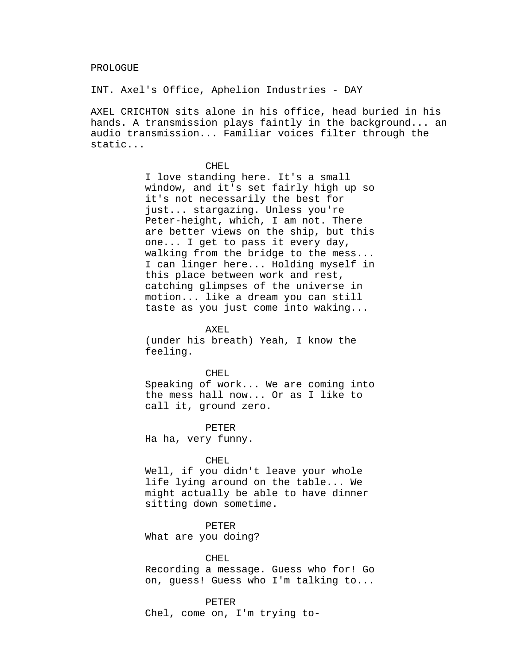INT. Axel's Office, Aphelion Industries - DAY

AXEL CRICHTON sits alone in his office, head buried in his hands. A transmission plays faintly in the background... an audio transmission... Familiar voices filter through the static...

#### CHEL

I love standing here. It's a small window, and it's set fairly high up so it's not necessarily the best for just... stargazing. Unless you're Peter-height, which, I am not. There are better views on the ship, but this one... I get to pass it every day, walking from the bridge to the mess... I can linger here... Holding myself in this place between work and rest, catching glimpses of the universe in motion... like a dream you can still taste as you just come into waking...

AXEL.

(under his breath) Yeah, I know the feeling.

#### CHEL

Speaking of work... We are coming into the mess hall now... Or as I like to call it, ground zero.

PETER

Ha ha, very funny.

### CHEL

Well, if you didn't leave your whole life lying around on the table... We might actually be able to have dinner sitting down sometime.

PETER

What are you doing?

# CHEL

Recording a message. Guess who for! Go on, guess! Guess who I'm talking to...

PETER

Chel, come on, I'm trying to-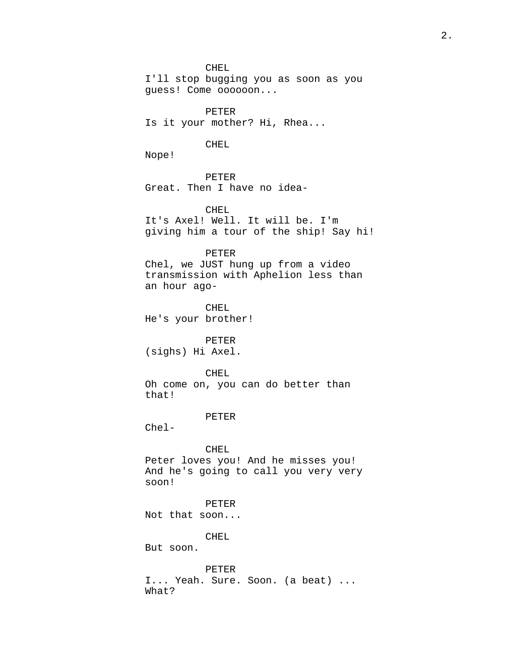CHEL

I'll stop bugging you as soon as you guess! Come oooooon...

PETER Is it your mother? Hi, Rhea...

## CHEL

Nope!

PETER Great. Then I have no idea-

CHEL It's Axel! Well. It will be. I'm giving him a tour of the ship! Say hi!

PETER Chel, we JUST hung up from a video transmission with Aphelion less than an hour ago-

CHEL He's your brother!

PETER (sighs) Hi Axel.

# CHEL

Oh come on, you can do better than that!

# PETER

Chel-

### CHEL

Peter loves you! And he misses you! And he's going to call you very very soon!

PETER

Not that soon...

CHEL

But soon.

PETER I... Yeah. Sure. Soon. (a beat) ... What?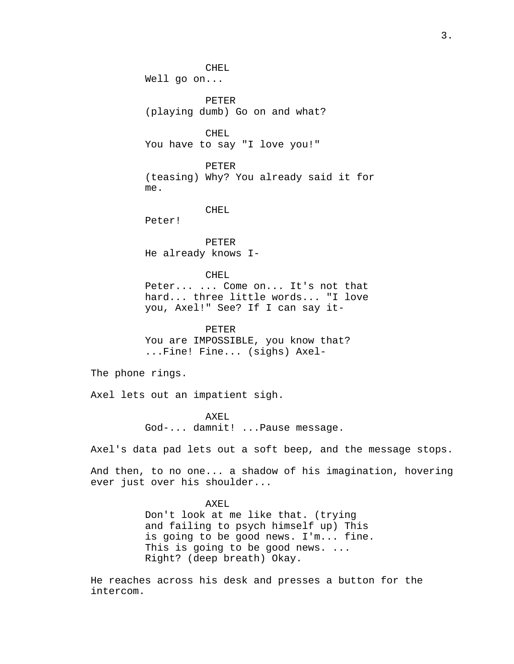CHEL Well go on... PETER (playing dumb) Go on and what? CHEL You have to say "I love you!" PETER (teasing) Why? You already said it for me. CHEL Peter! PETER He already knows I-CHEL Peter... ... Come on... It's not that hard... three little words... "I love you, Axel!" See? If I can say it-PETER You are IMPOSSIBLE, you know that? ...Fine! Fine... (sighs) Axel-The phone rings. Axel lets out an impatient sigh. AXEL God-... damnit! ...Pause message. Axel's data pad lets out a soft beep, and the message stops.

And then, to no one... a shadow of his imagination, hovering ever just over his shoulder...

> AXEL Don't look at me like that. (trying and failing to psych himself up) This is going to be good news. I'm... fine. This is going to be good news. ... Right? (deep breath) Okay.

He reaches across his desk and presses a button for the intercom.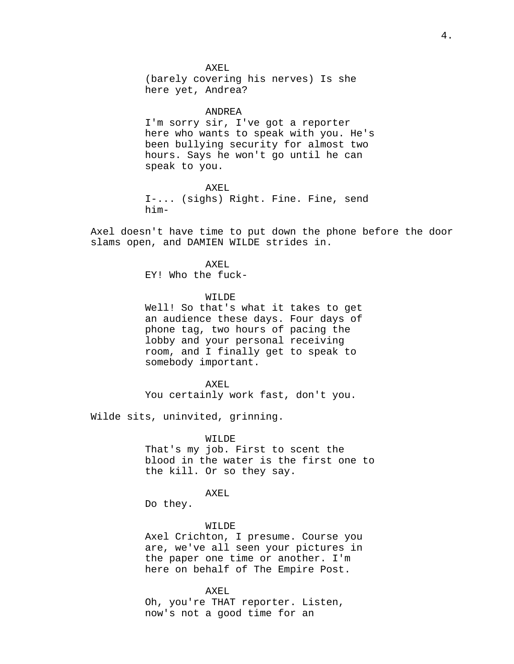AXEL (barely covering his nerves) Is she here yet, Andrea?

#### ANDREA

I'm sorry sir, I've got a reporter here who wants to speak with you. He's been bullying security for almost two hours. Says he won't go until he can speak to you.

### AXEL

I-... (sighs) Right. Fine. Fine, send him-

Axel doesn't have time to put down the phone before the door slams open, and DAMIEN WILDE strides in.

> AXEL EY! Who the fuck-

## WILDE<sup></sup>

Well! So that's what it takes to get an audience these days. Four days of phone tag, two hours of pacing the lobby and your personal receiving room, and I finally get to speak to somebody important.

#### AXEL

You certainly work fast, don't you.

Wilde sits, uninvited, grinning.

# WILDE

That's my job. First to scent the blood in the water is the first one to the kill. Or so they say.

### AXEL

Do they.

## WILDE

Axel Crichton, I presume. Course you are, we've all seen your pictures in the paper one time or another. I'm here on behalf of The Empire Post.

#### AXEL

Oh, you're THAT reporter. Listen, now's not a good time for an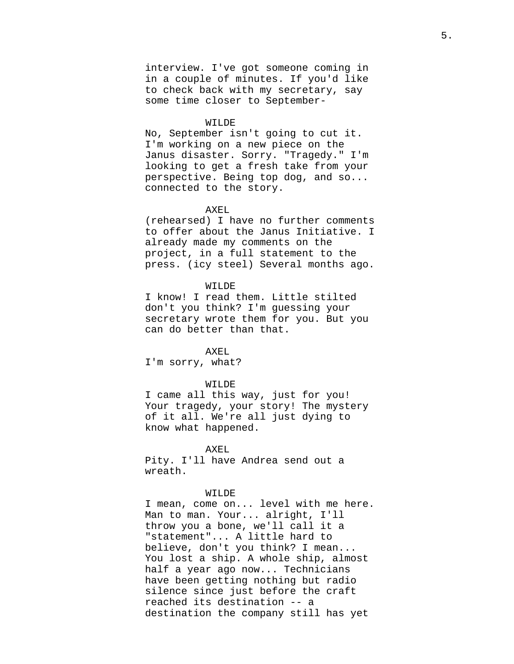interview. I've got someone coming in in a couple of minutes. If you'd like to check back with my secretary, say some time closer to September-

#### WILDE

No, September isn't going to cut it. I'm working on a new piece on the Janus disaster. Sorry. "Tragedy." I'm looking to get a fresh take from your perspective. Being top dog, and so... connected to the story.

## AXEL

(rehearsed) I have no further comments to offer about the Janus Initiative. I already made my comments on the project, in a full statement to the press. (icy steel) Several months ago.

# WILDE

I know! I read them. Little stilted don't you think? I'm guessing your secretary wrote them for you. But you can do better than that.

# AXEL

I'm sorry, what?

#### WILDE

I came all this way, just for you! Your tragedy, your story! The mystery of it all. We're all just dying to know what happened.

# AXEL

Pity. I'll have Andrea send out a wreath.

## WILDE

I mean, come on... level with me here. Man to man. Your... alright, I'll throw you a bone, we'll call it a "statement"... A little hard to believe, don't you think? I mean... You lost a ship. A whole ship, almost half a year ago now... Technicians have been getting nothing but radio silence since just before the craft reached its destination -- a destination the company still has yet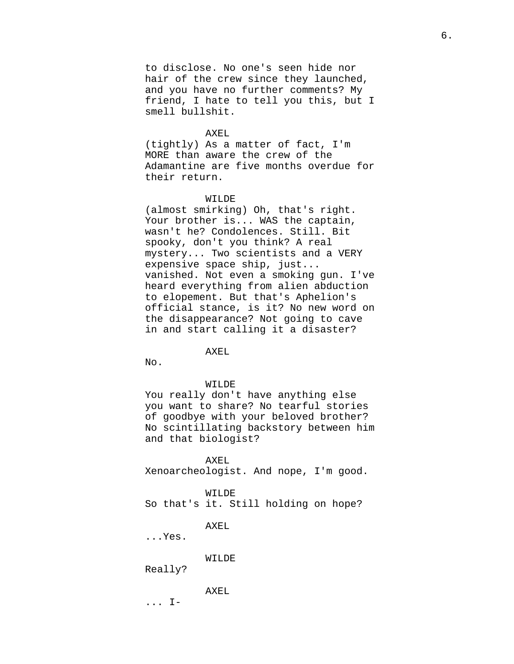to disclose. No one's seen hide nor hair of the crew since they launched, and you have no further comments? My friend, I hate to tell you this, but I smell bullshit.

## AXEL.

(tightly) As a matter of fact, I'm MORE than aware the crew of the Adamantine are five months overdue for their return.

# WILDE

(almost smirking) Oh, that's right. Your brother is... WAS the captain, wasn't he? Condolences. Still. Bit spooky, don't you think? A real mystery... Two scientists and a VERY expensive space ship, just... vanished. Not even a smoking gun. I've heard everything from alien abduction to elopement. But that's Aphelion's official stance, is it? No new word on the disappearance? Not going to cave in and start calling it a disaster?

## AXEL

No.

#### WILDE

You really don't have anything else you want to share? No tearful stories of goodbye with your beloved brother? No scintillating backstory between him and that biologist?

AXEL Xenoarcheologist. And nope, I'm good.

### WILDE

So that's it. Still holding on hope?

AXEL

...Yes.

# WILDE

Really?

AXEL

... I-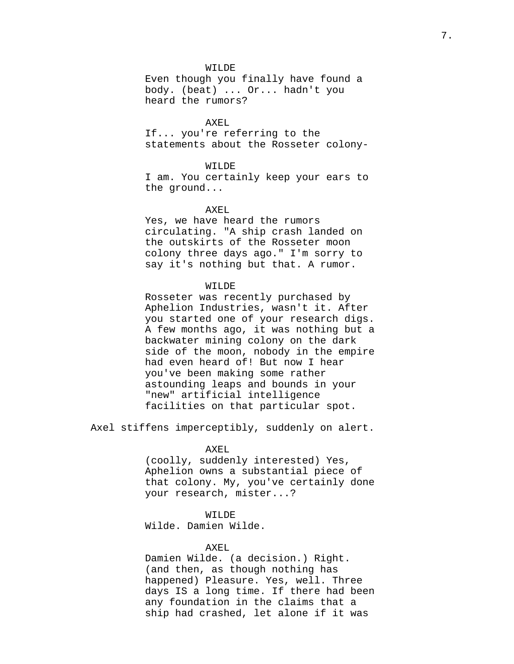### WILDE

Even though you finally have found a body. (beat) ... Or... hadn't you heard the rumors?

# AXEL

If... you're referring to the statements about the Rosseter colony-

# WILDE

I am. You certainly keep your ears to the ground...

# AXEL

Yes, we have heard the rumors circulating. "A ship crash landed on the outskirts of the Rosseter moon colony three days ago." I'm sorry to say it's nothing but that. A rumor.

# WILDE

Rosseter was recently purchased by Aphelion Industries, wasn't it. After you started one of your research digs. A few months ago, it was nothing but a backwater mining colony on the dark side of the moon, nobody in the empire had even heard of! But now I hear you've been making some rather astounding leaps and bounds in your "new" artificial intelligence facilities on that particular spot.

Axel stiffens imperceptibly, suddenly on alert.

### AXEL

(coolly, suddenly interested) Yes, Aphelion owns a substantial piece of that colony. My, you've certainly done your research, mister...?

# WILDE

Wilde. Damien Wilde.

# AXEL

Damien Wilde. (a decision.) Right. (and then, as though nothing has happened) Pleasure. Yes, well. Three days IS a long time. If there had been any foundation in the claims that a ship had crashed, let alone if it was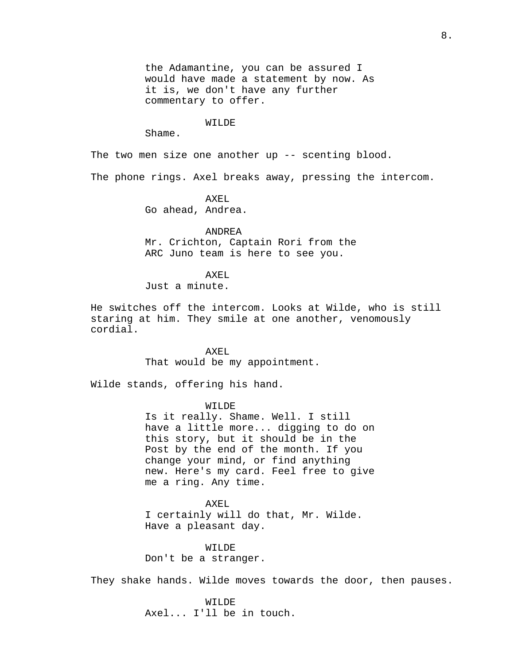the Adamantine, you can be assured I would have made a statement by now. As it is, we don't have any further commentary to offer.

# WILDE

Shame.

The two men size one another up -- scenting blood.

The phone rings. Axel breaks away, pressing the intercom.

AXEL

Go ahead, Andrea.

## ANDREA

Mr. Crichton, Captain Rori from the ARC Juno team is here to see you.

## AXEL

Just a minute.

He switches off the intercom. Looks at Wilde, who is still staring at him. They smile at one another, venomously cordial.

> AXEL That would be my appointment.

Wilde stands, offering his hand.

# WILDE

Is it really. Shame. Well. I still have a little more... digging to do on this story, but it should be in the Post by the end of the month. If you change your mind, or find anything new. Here's my card. Feel free to give me a ring. Any time.

AXEL

I certainly will do that, Mr. Wilde. Have a pleasant day.

WILDE Don't be a stranger.

They shake hands. Wilde moves towards the door, then pauses.

WILDE Axel... I'll be in touch.